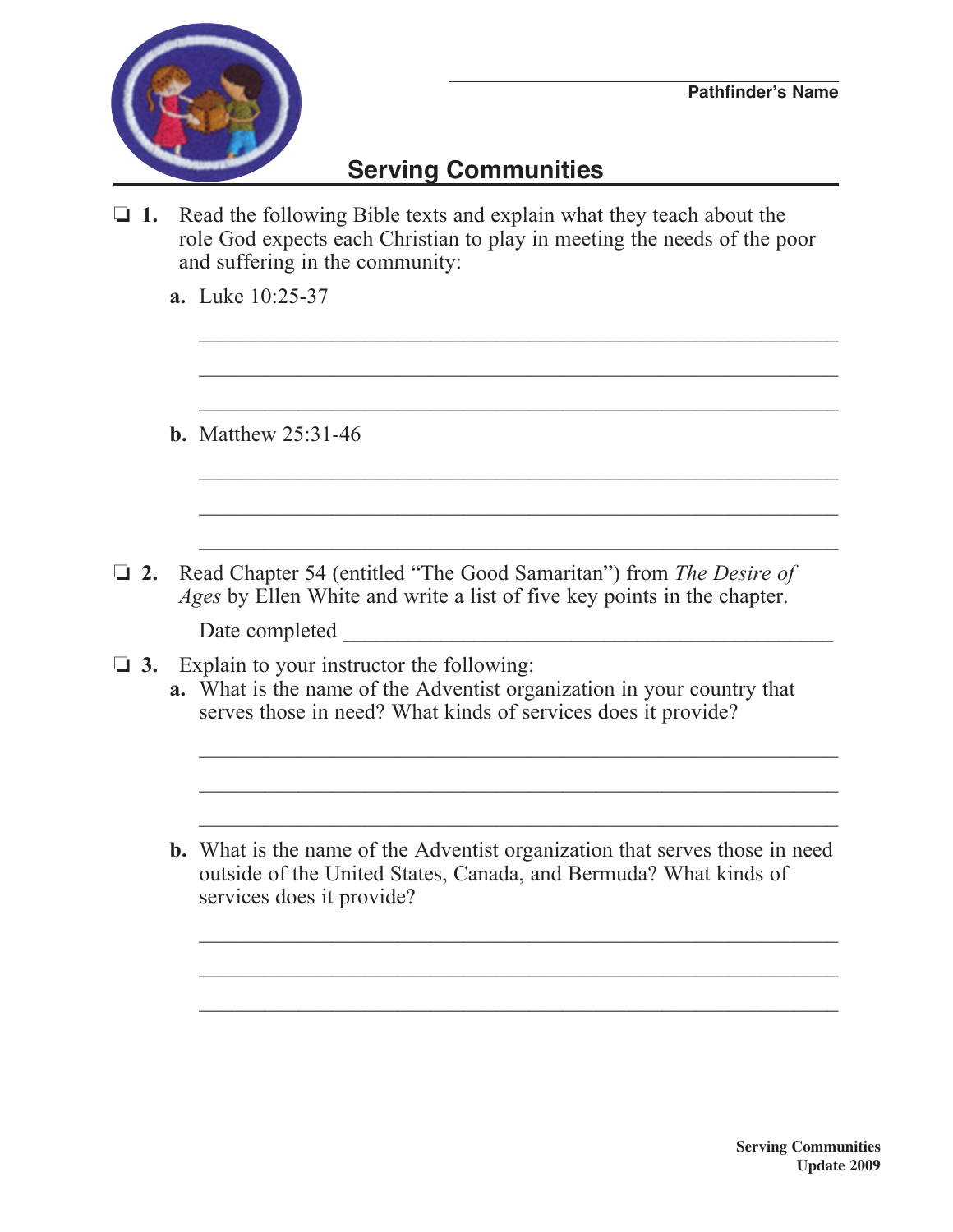

## **Serving Communities**

 $\Box$  **1.** Read the following Bible texts and explain what they teach about the role God expects each Christian to play in meeting the needs of the poor and suffering in the community:

 $\mathcal{L}_\text{max} = \frac{1}{2} \sum_{i=1}^{n} \frac{1}{2} \sum_{i=1}^{n} \frac{1}{2} \sum_{i=1}^{n} \frac{1}{2} \sum_{i=1}^{n} \frac{1}{2} \sum_{i=1}^{n} \frac{1}{2} \sum_{i=1}^{n} \frac{1}{2} \sum_{i=1}^{n} \frac{1}{2} \sum_{i=1}^{n} \frac{1}{2} \sum_{i=1}^{n} \frac{1}{2} \sum_{i=1}^{n} \frac{1}{2} \sum_{i=1}^{n} \frac{1}{2} \sum_{i=1}^{n} \frac{1$ 

 $\mathcal{L}_\text{max} = \frac{1}{2} \sum_{i=1}^{n} \frac{1}{2} \sum_{i=1}^{n} \frac{1}{2} \sum_{i=1}^{n} \frac{1}{2} \sum_{i=1}^{n} \frac{1}{2} \sum_{i=1}^{n} \frac{1}{2} \sum_{i=1}^{n} \frac{1}{2} \sum_{i=1}^{n} \frac{1}{2} \sum_{i=1}^{n} \frac{1}{2} \sum_{i=1}^{n} \frac{1}{2} \sum_{i=1}^{n} \frac{1}{2} \sum_{i=1}^{n} \frac{1}{2} \sum_{i=1}^{n} \frac{1$ 

 $\mathcal{L}_\text{max} = \frac{1}{2} \sum_{i=1}^{n} \frac{1}{2} \sum_{i=1}^{n} \frac{1}{2} \sum_{i=1}^{n} \frac{1}{2} \sum_{i=1}^{n} \frac{1}{2} \sum_{i=1}^{n} \frac{1}{2} \sum_{i=1}^{n} \frac{1}{2} \sum_{i=1}^{n} \frac{1}{2} \sum_{i=1}^{n} \frac{1}{2} \sum_{i=1}^{n} \frac{1}{2} \sum_{i=1}^{n} \frac{1}{2} \sum_{i=1}^{n} \frac{1}{2} \sum_{i=1}^{n} \frac{1$ 

 $\mathcal{L}_\text{max} = \frac{1}{2} \sum_{i=1}^n \frac{1}{2} \sum_{i=1}^n \frac{1}{2} \sum_{i=1}^n \frac{1}{2} \sum_{i=1}^n \frac{1}{2} \sum_{i=1}^n \frac{1}{2} \sum_{i=1}^n \frac{1}{2} \sum_{i=1}^n \frac{1}{2} \sum_{i=1}^n \frac{1}{2} \sum_{i=1}^n \frac{1}{2} \sum_{i=1}^n \frac{1}{2} \sum_{i=1}^n \frac{1}{2} \sum_{i=1}^n \frac{1}{2} \sum_{i=1}^n$ 

 $\mathcal{L}_\text{max} = \frac{1}{2} \sum_{i=1}^{n} \frac{1}{2} \sum_{i=1}^{n} \frac{1}{2} \sum_{i=1}^{n} \frac{1}{2} \sum_{i=1}^{n} \frac{1}{2} \sum_{i=1}^{n} \frac{1}{2} \sum_{i=1}^{n} \frac{1}{2} \sum_{i=1}^{n} \frac{1}{2} \sum_{i=1}^{n} \frac{1}{2} \sum_{i=1}^{n} \frac{1}{2} \sum_{i=1}^{n} \frac{1}{2} \sum_{i=1}^{n} \frac{1}{2} \sum_{i=1}^{n} \frac{1$ 

 $\mathcal{L}_\text{max} = \frac{1}{2} \sum_{i=1}^{n} \frac{1}{2} \sum_{i=1}^{n} \frac{1}{2} \sum_{i=1}^{n} \frac{1}{2} \sum_{i=1}^{n} \frac{1}{2} \sum_{i=1}^{n} \frac{1}{2} \sum_{i=1}^{n} \frac{1}{2} \sum_{i=1}^{n} \frac{1}{2} \sum_{i=1}^{n} \frac{1}{2} \sum_{i=1}^{n} \frac{1}{2} \sum_{i=1}^{n} \frac{1}{2} \sum_{i=1}^{n} \frac{1}{2} \sum_{i=1}^{n} \frac{1$ 

 **a.** Luke 10:25-37

 **b.** Matthew 25:31-46

□ 2. Read Chapter 54 (entitled "The Good Samaritan") from *The Desire of Ages* by Ellen White and write a list of five key points in the chapter.

Date completed

- $\Box$  **3.** Explain to your instructor the following:
	- **a.** What is the name of the Adventist organization in your country that serves those in need? What kinds of services does it provide?

 $\mathcal{L}_\text{max} = \frac{1}{2} \sum_{i=1}^{n} \frac{1}{2} \sum_{i=1}^{n} \frac{1}{2} \sum_{i=1}^{n} \frac{1}{2} \sum_{i=1}^{n} \frac{1}{2} \sum_{i=1}^{n} \frac{1}{2} \sum_{i=1}^{n} \frac{1}{2} \sum_{i=1}^{n} \frac{1}{2} \sum_{i=1}^{n} \frac{1}{2} \sum_{i=1}^{n} \frac{1}{2} \sum_{i=1}^{n} \frac{1}{2} \sum_{i=1}^{n} \frac{1}{2} \sum_{i=1}^{n} \frac{1$ 

 $\mathcal{L}_\text{max} = \frac{1}{2} \sum_{i=1}^{n} \frac{1}{2} \sum_{i=1}^{n} \frac{1}{2} \sum_{i=1}^{n} \frac{1}{2} \sum_{i=1}^{n} \frac{1}{2} \sum_{i=1}^{n} \frac{1}{2} \sum_{i=1}^{n} \frac{1}{2} \sum_{i=1}^{n} \frac{1}{2} \sum_{i=1}^{n} \frac{1}{2} \sum_{i=1}^{n} \frac{1}{2} \sum_{i=1}^{n} \frac{1}{2} \sum_{i=1}^{n} \frac{1}{2} \sum_{i=1}^{n} \frac{1$ 

 $\mathcal{L}_\text{max} = \frac{1}{2} \sum_{i=1}^{n} \frac{1}{2} \sum_{i=1}^{n} \frac{1}{2} \sum_{i=1}^{n} \frac{1}{2} \sum_{i=1}^{n} \frac{1}{2} \sum_{i=1}^{n} \frac{1}{2} \sum_{i=1}^{n} \frac{1}{2} \sum_{i=1}^{n} \frac{1}{2} \sum_{i=1}^{n} \frac{1}{2} \sum_{i=1}^{n} \frac{1}{2} \sum_{i=1}^{n} \frac{1}{2} \sum_{i=1}^{n} \frac{1}{2} \sum_{i=1}^{n} \frac{1$ 

 $\mathcal{L}_\text{max} = \frac{1}{2} \sum_{i=1}^n \frac{1}{2} \sum_{i=1}^n \frac{1}{2} \sum_{i=1}^n \frac{1}{2} \sum_{i=1}^n \frac{1}{2} \sum_{i=1}^n \frac{1}{2} \sum_{i=1}^n \frac{1}{2} \sum_{i=1}^n \frac{1}{2} \sum_{i=1}^n \frac{1}{2} \sum_{i=1}^n \frac{1}{2} \sum_{i=1}^n \frac{1}{2} \sum_{i=1}^n \frac{1}{2} \sum_{i=1}^n \frac{1}{2} \sum_{i=1}^n$ 

 $\mathcal{L}_\text{max} = \frac{1}{2} \sum_{i=1}^{n} \frac{1}{2} \sum_{i=1}^{n} \frac{1}{2} \sum_{i=1}^{n} \frac{1}{2} \sum_{i=1}^{n} \frac{1}{2} \sum_{i=1}^{n} \frac{1}{2} \sum_{i=1}^{n} \frac{1}{2} \sum_{i=1}^{n} \frac{1}{2} \sum_{i=1}^{n} \frac{1}{2} \sum_{i=1}^{n} \frac{1}{2} \sum_{i=1}^{n} \frac{1}{2} \sum_{i=1}^{n} \frac{1}{2} \sum_{i=1}^{n} \frac{1$ 

 $\mathcal{L}_\text{max} = \frac{1}{2} \sum_{i=1}^{n} \frac{1}{2} \sum_{i=1}^{n} \frac{1}{2} \sum_{i=1}^{n} \frac{1}{2} \sum_{i=1}^{n} \frac{1}{2} \sum_{i=1}^{n} \frac{1}{2} \sum_{i=1}^{n} \frac{1}{2} \sum_{i=1}^{n} \frac{1}{2} \sum_{i=1}^{n} \frac{1}{2} \sum_{i=1}^{n} \frac{1}{2} \sum_{i=1}^{n} \frac{1}{2} \sum_{i=1}^{n} \frac{1}{2} \sum_{i=1}^{n} \frac{1$ 

 **b.** What is the name of the Adventist organization that serves those in need outside of the United States, Canada, and Bermuda? What kinds of services does it provide?